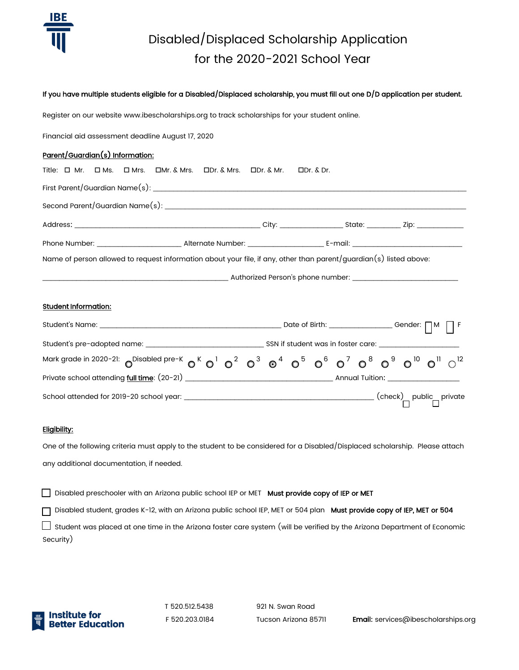

# Disabled/Displaced Scholarship Application for the 2020-2021 School Year

#### If you have multiple students eligible for a Disabled/Displaced scholarship, you must fill out one D/D application per student.

Register on our website www.ibescholarships.org to track scholarships for your student online.

Financial aid assessment deadline August 17, 2020

### Parent/Guardian(s) Information:

| Title: □ Mr.                                                                                                       |                                                                                                      |  |  | $\Box$ Ms. $\Box$ Mrs. $\Box$ Mr. & Mrs. $\Box$ Dr. & Mr. $\Box$ Mr. $\Box$ Dr. & Mr. |  | $\Box$ Dr. & Dr. |  |  |
|--------------------------------------------------------------------------------------------------------------------|------------------------------------------------------------------------------------------------------|--|--|---------------------------------------------------------------------------------------|--|------------------|--|--|
|                                                                                                                    |                                                                                                      |  |  |                                                                                       |  |                  |  |  |
|                                                                                                                    |                                                                                                      |  |  |                                                                                       |  |                  |  |  |
|                                                                                                                    |                                                                                                      |  |  |                                                                                       |  |                  |  |  |
|                                                                                                                    |                                                                                                      |  |  |                                                                                       |  |                  |  |  |
| Name of person allowed to request information about your file, if any, other than parent/guardian(s) listed above: |                                                                                                      |  |  |                                                                                       |  |                  |  |  |
|                                                                                                                    | ___________________________________ Authorized Person's phone number: ______________________________ |  |  |                                                                                       |  |                  |  |  |

### Student Information:

| Student's Name: The Contract of the Contract of the Contract of the Contract of the Contract of the Contract of the Contract of the Contract of the Contract of the Contract of the Contract of the Contract of the Contract o | Date of Birth: ___________________Gender: $\bigcap M$ $\bigcap F$ |  |  |                                    |  |  |                                                 |  |
|--------------------------------------------------------------------------------------------------------------------------------------------------------------------------------------------------------------------------------|-------------------------------------------------------------------|--|--|------------------------------------|--|--|-------------------------------------------------|--|
|                                                                                                                                                                                                                                |                                                                   |  |  | SSN if student was in foster care: |  |  |                                                 |  |
| Mark grade in 2020-21: $O^{Disabled$ pre-K $O^K O^1 O^2 O^3 O^4 O^5 O^6 O^7 O^8 O^8 O^9 O^{10} O^{11} O^{12}$                                                                                                                  |                                                                   |  |  |                                    |  |  |                                                 |  |
|                                                                                                                                                                                                                                |                                                                   |  |  |                                    |  |  |                                                 |  |
| School attended for 2019-20 school year: School and School attended for 2019-20 school year:                                                                                                                                   |                                                                   |  |  |                                    |  |  | $\overline{\phantom{a}}$ (check) public private |  |

#### Eligibility:

One of the following criteria must apply to the student to be considered for a Disabled/Displaced scholarship. Please attach any additional documentation, if needed.

Disabled preschooler with an Arizona public school IEP or MET Must provide copy of IEP or MET

Disabled student, grades K-12, with an Arizona public school IEP, MET or 504 plan Must provide copy of IEP, MET or 504

 $\Box$  Student was placed at one time in the Arizona foster care system (will be verified by the Arizona Department of Economic Security)



T 520.512.5438 921 N. Swan Road